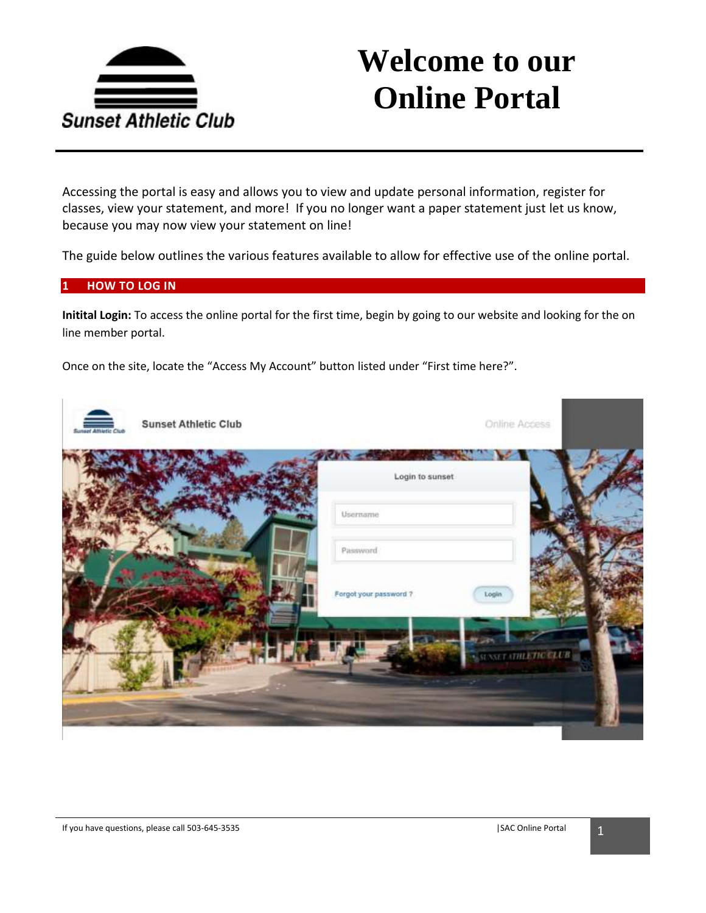

Accessing the portal is easy and allows you to view and update personal information, register for classes, view your statement, and more! If you no longer want a paper statement just let us know, because you may now view your statement on line!

The guide below outlines the various features available to allow for effective use of the online portal.

### **1 HOW TO LOG IN**

**Initital Login:** To access the online portal for the first time, begin by going to our website and looking for the on line member portal.

Once on the site, locate the "Access My Account" button listed under "First time here?".

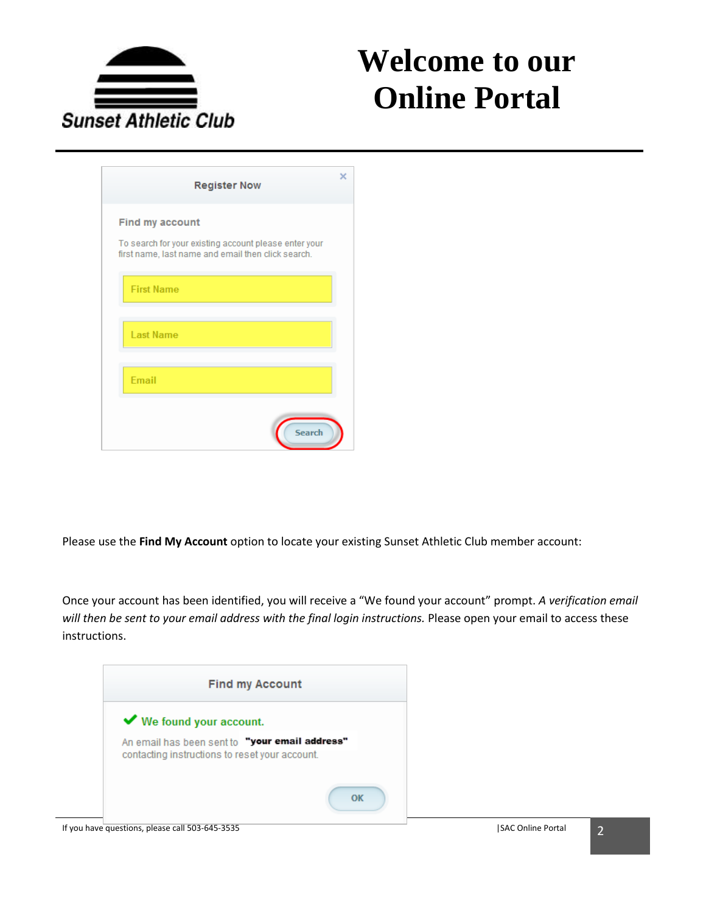

| <b>Register Now</b>                                                                                                                   | x |
|---------------------------------------------------------------------------------------------------------------------------------------|---|
| <b>Find my account</b><br>To search for your existing account please enter your<br>first name, last name and email then click search. |   |
| <b>First Name</b>                                                                                                                     |   |
| <b>Last Name</b>                                                                                                                      |   |
| <b>Email</b>                                                                                                                          |   |
| <b>Search</b>                                                                                                                         |   |

Please use the **Find My Account** option to locate your existing Sunset Athletic Club member account:

Once your account has been identified, you will receive a "We found your account" prompt. *A verification email will then be sent to your email address with the final login instructions.* Please open your email to access these instructions.

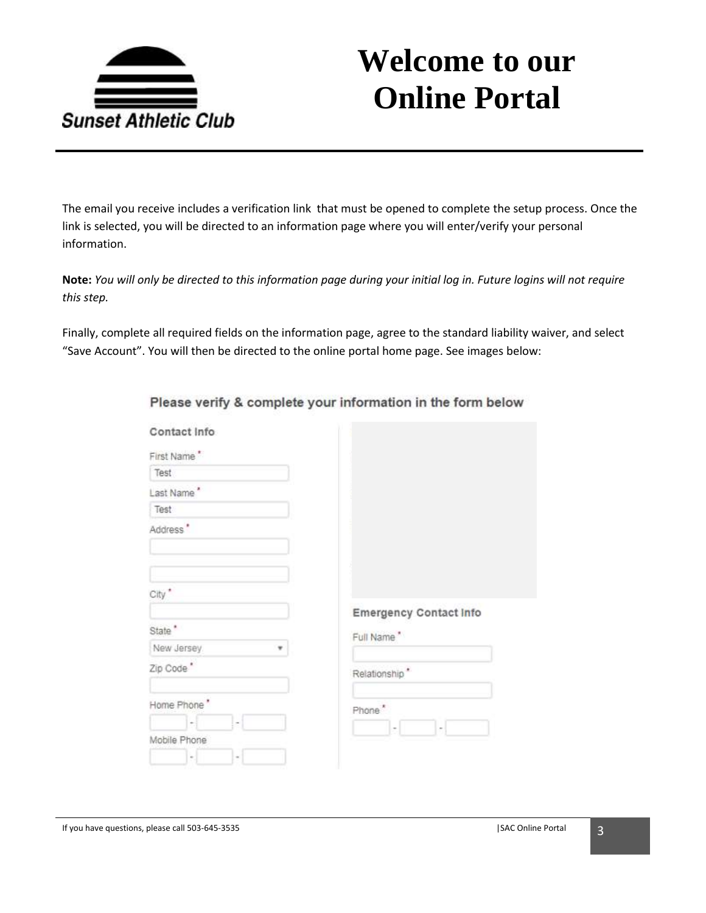

The email you receive includes a verification link that must be opened to complete the setup process. Once the link is selected, you will be directed to an information page where you will enter/verify your personal information.

**Note:** *You will only be directed to this information page during your initial log in. Future logins will not require this step.* 

Finally, complete all required fields on the information page, agree to the standard liability waiver, and select "Save Account". You will then be directed to the online portal home page. See images below:

| Contact Info             |                                                      |
|--------------------------|------------------------------------------------------|
| First Name*              |                                                      |
| Test                     |                                                      |
| Last Name*               |                                                      |
| Test                     |                                                      |
| Address'                 |                                                      |
|                          |                                                      |
|                          |                                                      |
| City <sup>*</sup>        |                                                      |
|                          | <b>Emergency Contact Info</b>                        |
| State *                  | Full Name"                                           |
| New Jersey               |                                                      |
| Zip Code*                | Relationship*                                        |
| Home Phone"              | Phone*                                               |
|                          |                                                      |
| Mobile Phone             | $\overline{\phantom{a}}$<br>$\overline{\phantom{a}}$ |
| $\sim$<br>$\blacksquare$ |                                                      |

Please verify & complete your information in the form below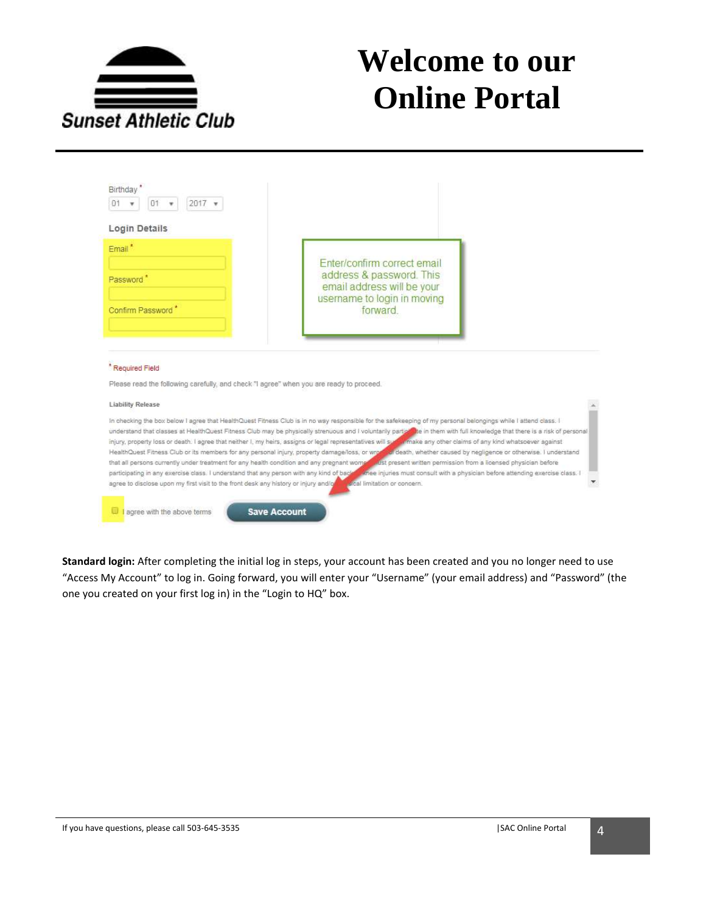

| 01<br>$2017$ $*$<br>01                                                                                                                  |                                                                                                                                                                                                                                                                                                                                                                                                                                                                                                                                                                                                                                                                                        |
|-----------------------------------------------------------------------------------------------------------------------------------------|----------------------------------------------------------------------------------------------------------------------------------------------------------------------------------------------------------------------------------------------------------------------------------------------------------------------------------------------------------------------------------------------------------------------------------------------------------------------------------------------------------------------------------------------------------------------------------------------------------------------------------------------------------------------------------------|
| Login Details                                                                                                                           |                                                                                                                                                                                                                                                                                                                                                                                                                                                                                                                                                                                                                                                                                        |
| $Email^*$<br>Password <sup>*</sup>                                                                                                      | Enter/confirm correct email<br>address & password. This<br>email address will be your<br>username to login in moving                                                                                                                                                                                                                                                                                                                                                                                                                                                                                                                                                                   |
| Confirm Password <sup>*</sup>                                                                                                           | forward                                                                                                                                                                                                                                                                                                                                                                                                                                                                                                                                                                                                                                                                                |
|                                                                                                                                         |                                                                                                                                                                                                                                                                                                                                                                                                                                                                                                                                                                                                                                                                                        |
|                                                                                                                                         |                                                                                                                                                                                                                                                                                                                                                                                                                                                                                                                                                                                                                                                                                        |
| * Required Field<br>Please read the following carefully, and check."I agree" when you are ready to proceed.<br><b>Liability Release</b> |                                                                                                                                                                                                                                                                                                                                                                                                                                                                                                                                                                                                                                                                                        |
|                                                                                                                                         | In checking the box below I agree that HealthQuest Fitness Club is in no way responsible for the safekeeping of my personal belongings while I attend class. I<br>understand that classes at HealthQuest Fitness Club may be physically strenuous and I voluntarily particable in them with full knowledge that there is a risk of personal<br>injury, property loss or death. I agree that neither I, my heirs, assigns or legal representatives will such imake any other claims of any kind whatsoever against<br>HealthQuest Fitness Club or its members for any personal injury, property damage/loss, or wron and death, whether caused by negligence or otherwise. I understand |
|                                                                                                                                         | that all persons currently under treatment for any health condition and any pregnant women was present written permission from a licensed physician before<br>participating in any exercise class. I understand that any person with any kind of back. Whee injuries must consult with a physician before attending exercise class. I<br>agree to disclose upon my first visit to the front desk any history or injury and/or institution or concern.                                                                                                                                                                                                                                  |

**Standard login:** After completing the initial log in steps, your account has been created and you no longer need to use "Access My Account" to log in. Going forward, you will enter your "Username" (your email address) and "Password" (the one you created on your first log in) in the "Login to HQ" box.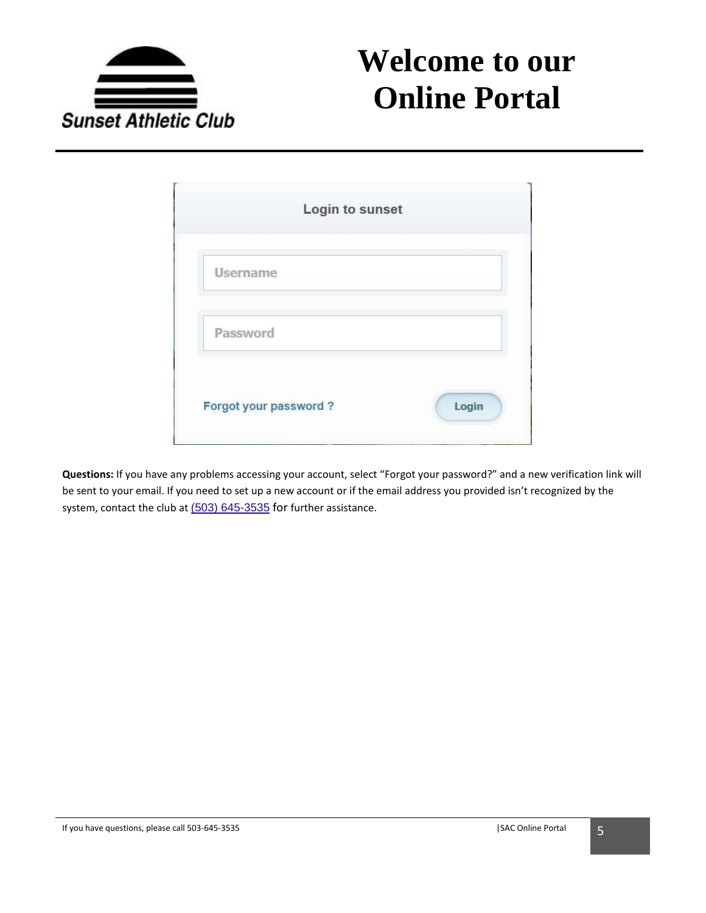

| Login to sunset              |       |
|------------------------------|-------|
| Username                     |       |
| Password                     |       |
| <b>Forgot your password?</b> | Login |

**Questions:** If you have any problems accessing your account, select "Forgot your password?" and a new verification link will be sent to your email. If you need to set up a new account or if the email address you provided isn't recognized by the system, contact the club at (503) [645-3535](javascript:void(0)) for further assistance.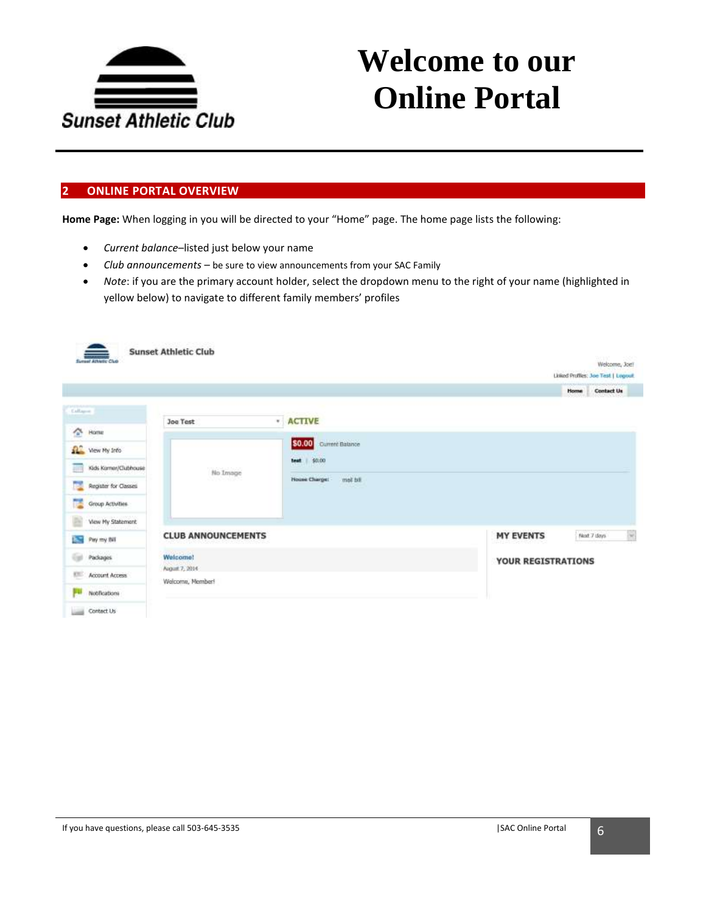

### **2 ONLINE PORTAL OVERVIEW**

**Home Page:** When logging in you will be directed to your "Home" page. The home page lists the following:

- *Current balance*–listed just below your name
- *Club announcements* be sure to view announcements from your SAC Family
- *Note*: if you are the primary account holder, select the dropdown menu to the right of your name (highlighted in yellow below) to navigate to different family members' profiles

| <b>Synnet Athletic Club</b>        | <b>Sunset Athletic Club</b>        |                                                |                    | Welcome, Joef<br>Linked Profiles: Joe Test   Lugouit. |
|------------------------------------|------------------------------------|------------------------------------------------|--------------------|-------------------------------------------------------|
|                                    |                                    |                                                |                    | Contact Us<br>Home                                    |
| Callages                           | <b>Joe Test</b>                    | * ACTIVE                                       |                    |                                                       |
| 全<br>Home                          |                                    |                                                |                    |                                                       |
| Wew My Info                        |                                    | Current Balance<br>\$0.00                      |                    |                                                       |
| Kids Kamer/Clubhouse<br><b>Em</b>  | No Image                           | <b>best</b> \$0.00                             |                    |                                                       |
| <b>Part</b><br>Register for Casses | <u> 대한 대표</u>                      | met bit<br><b>House Charge:</b><br><b>TIME</b> |                    |                                                       |
| n.<br>Group Activities             |                                    |                                                |                    |                                                       |
| View My Statement                  |                                    |                                                |                    |                                                       |
| B.<br>Pay my Bill                  | <b>CLUB ANNOUNCEMENTS</b>          |                                                | <b>MY EVENTS</b>   | 8<br>Next 7 days                                      |
| Packages                           | Welcome!                           |                                                | YOUR REGISTRATIONS |                                                       |
| Account Access<br><b>CT</b>        | August 7, 2014<br>Welcome, Member! |                                                |                    |                                                       |
| Nobhcations<br>ш                   |                                    |                                                |                    |                                                       |
| Contect Us                         |                                    |                                                |                    |                                                       |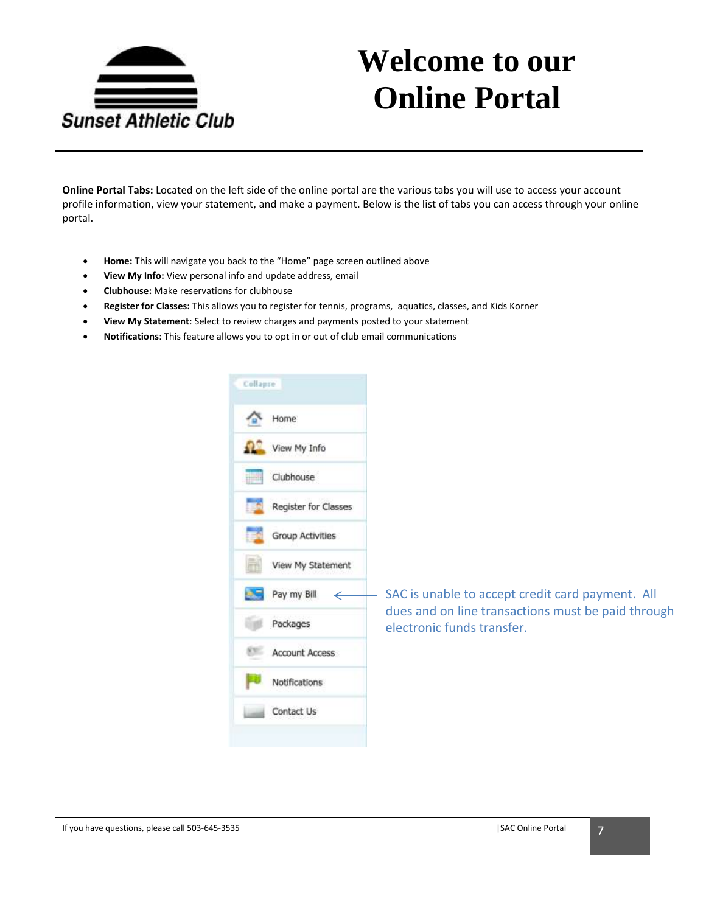

**Online Portal Tabs:** Located on the left side of the online portal are the various tabs you will use to access your account profile information, view your statement, and make a payment. Below is the list of tabs you can access through your online portal.

- **Home:** This will navigate you back to the "Home" page screen outlined above
- **View My Info:** View personal info and update address, email
- **Clubhouse:** Make reservations for clubhouse
- **Register for Classes:** This allows you to register for tennis, programs, aquatics, classes, and Kids Korner
- **View My Statement**: Select to review charges and payments posted to your statement
- **Notifications**: This feature allows you to opt in or out of club email communications

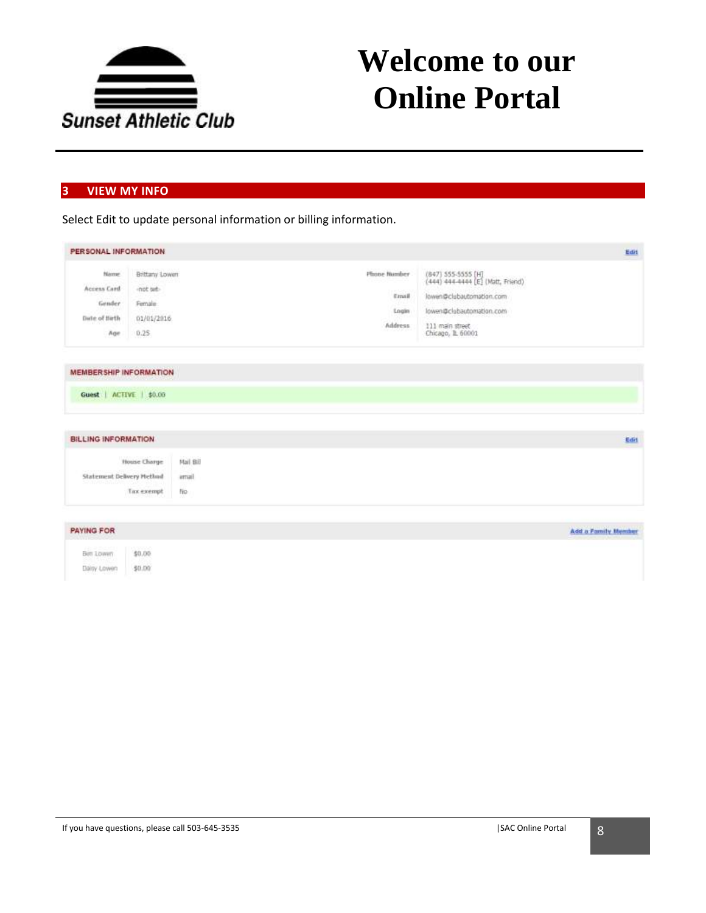

### **3 VIEW MY INFO**

Select Edit to update personal information or billing information.

| PERSONAL INFORMATION                                      |                                                                |                           |                                                  |                                                                                                                                                         | Edit                |
|-----------------------------------------------------------|----------------------------------------------------------------|---------------------------|--------------------------------------------------|---------------------------------------------------------------------------------------------------------------------------------------------------------|---------------------|
| Name:<br>Access Card<br>Gender<br>Date of Birth<br>Age    | Brittany Lowers<br>inct set-<br>Female:<br>01/01/2016<br>0.25. |                           | Phone Number<br>Email<br>Login<br><b>Address</b> | (847) 555-5555 [H]<br>(444) 444-4444 [E] (Matt, Friend)<br>lowen@clubautomation.com<br>lowen@clubautomation.com<br>111 main street<br>Chicago, 1L 60001 |                     |
| <b>MEMBER SHIP INFORMATION</b><br>Guest   ACTIVE   \$0.00 |                                                                |                           |                                                  |                                                                                                                                                         |                     |
| <b>BILLING INFORMATION</b>                                |                                                                |                           |                                                  |                                                                                                                                                         | Edit                |
| Statement Delivery Method                                 | House Charge<br>Tax exempt                                     | Mail Bill<br>amail<br>No. |                                                  |                                                                                                                                                         |                     |
| <b>PAYING FOR</b>                                         |                                                                |                           |                                                  |                                                                                                                                                         | Add a Family Member |
| Ben Lowen<br>Dairy Lowen                                  | \$0.00<br>\$0.00                                               |                           |                                                  |                                                                                                                                                         |                     |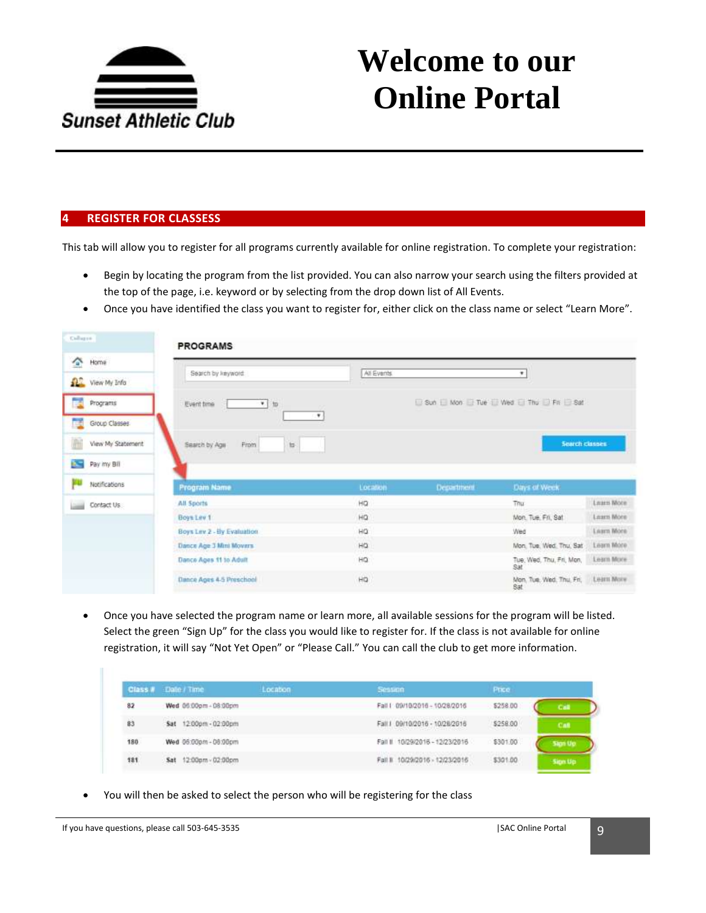

### **4 REGISTER FOR CLASSESS**

This tab will allow you to register for all programs currently available for online registration. To complete your registration:

- Begin by locating the program from the list provided. You can also narrow your search using the filters provided at the top of the page, i.e. keyword or by selecting from the drop down list of All Events.
- Once you have identified the class you want to register for, either click on the class name or select "Learn More".

| Gallague                           | <b>PROGRAMS</b>                                                    |            |                   |                                         |            |
|------------------------------------|--------------------------------------------------------------------|------------|-------------------|-----------------------------------------|------------|
| Home<br>$\mathcal{L}_{\mathbf{a}}$ |                                                                    |            |                   |                                         |            |
| <b>Q2</b> View My Info             | Search by keyword:                                                 | All Events |                   | Ŧ.                                      |            |
| ×<br>Programs                      | Event time<br>to<br>$\mathbf{v}$ .<br><b>SLEEDS</b><br><b>STAR</b> |            |                   | Sun E Mon E Tue E Wed E Thu D Fit E Sat |            |
| г.<br>Group Classes                | ٠                                                                  |            |                   |                                         |            |
| È<br>View My Statement             | From<br>Search by Age<br>to                                        |            |                   | Search classes                          |            |
| <b>SSE</b><br>Pay my Bill          |                                                                    |            |                   |                                         |            |
| Notifications                      | Program Name                                                       | Location   | <b>Department</b> | Days of Week                            |            |
| Contact Us                         | All Sports                                                         | HQ         |                   | Thu                                     | Learn More |
|                                    | Boys Lev 1                                                         | HQ         |                   | Mon. Tue, Fri, Sat.                     | Learn More |
|                                    | Boys Lev 2 - By Evaluation.                                        | HQ         |                   | Wed                                     | Learn More |
|                                    | Dance Age 3 Mini Movers                                            | HQ         |                   | Mon. Tue, Wed. Thu, Sat                 | Learn More |
|                                    | Dance Ages 11 to Adult                                             | HQ         |                   | Tue, Wed, Thu, Fri, Man,<br>Sat         | Learn More |
|                                    | Dance Ages 4-5 Preschool                                           | HQ         |                   | Mon. Tue. Wed. Thu, Fri,<br>Sat         | Learn More |

 Once you have selected the program name or learn more, all available sessions for the program will be listed. Select the green "Sign Up" for the class you would like to register for. If the class is not available for online registration, it will say "Not Yet Open" or "Please Call." You can call the club to get more information.

|                    | Class # Date / Time      | Location | Session                                                                                      | Price    |                |
|--------------------|--------------------------|----------|----------------------------------------------------------------------------------------------|----------|----------------|
| 82                 | Wed 06:00pm - 08:00pm    |          | Fall   09/10/2016 - 10/28/2016                                                               | \$258.00 | Call           |
| 83                 | Sat 12:00pm - 02:00pm    |          | Fall 1 09/10/2016 - 10/28/2016<br>2001   2012   2013   2013   2014   2015   2016   2017   20 | \$258.00 | Caft           |
| 180                | Wed 06:00pm - 08:00pm    |          | Fall # 10/29/2016 - 12/23/2016                                                               | \$301.00 | Sign Up        |
| $10-200+14$<br>181 | 12:00pm - 02:00pm<br>Sat |          | Fall II 10/29/2016 - 12/23/2016                                                              | \$301.00 | <b>Sign Up</b> |

You will then be asked to select the person who will be registering for the class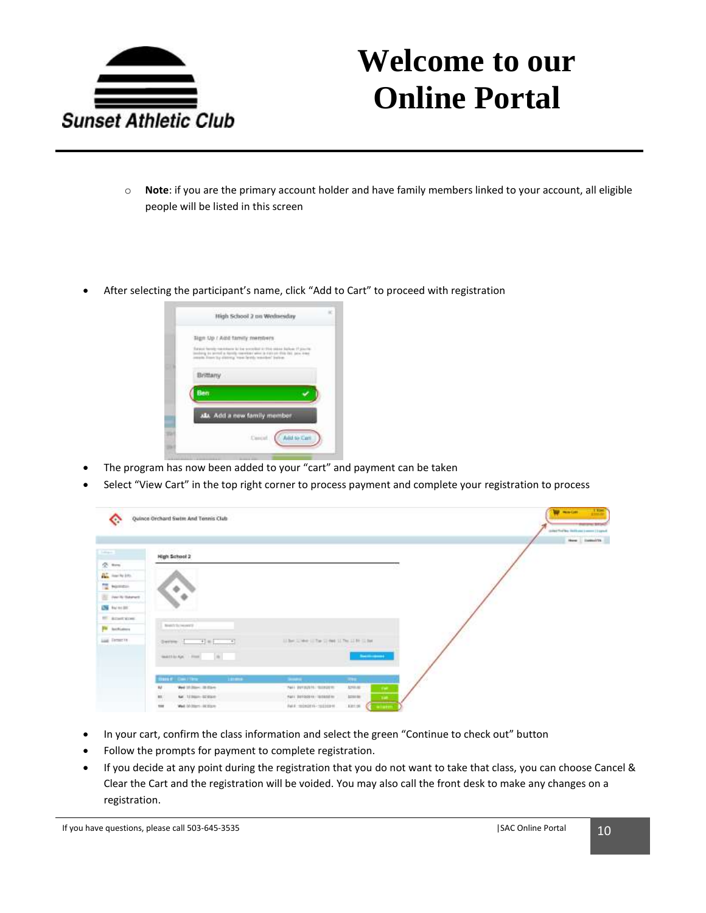

- o **Note**: if you are the primary account holder and have family members linked to your account, all eligible people will be listed in this screen
- After selecting the participant's name, click "Add to Cart" to proceed with registration



- The program has now been added to your "cart" and payment can be taken
- Select "View Cart" in the top right corner to process payment and complete your registration to process

| ◇                                                                                                                         | Quince Orchard Swite And Tennis Club |                                                                                                                                                                                                                                                                                                                                                                                                                                               | $\mathbf{1}$<br><b>W</b> minder<br><b>STORY BRIDE</b><br>color/finites incluse (comm ) I canct<br>$\frac{1}{2}$ and $\frac{1}{2}$ . In<br>case of $\mathcal{M}_0$ |
|---------------------------------------------------------------------------------------------------------------------------|--------------------------------------|-----------------------------------------------------------------------------------------------------------------------------------------------------------------------------------------------------------------------------------------------------------------------------------------------------------------------------------------------------------------------------------------------------------------------------------------------|-------------------------------------------------------------------------------------------------------------------------------------------------------------------|
| $\frac{1}{2} \left( \frac{1}{2} \right) \left( \frac{1}{2} \right) \left( \frac{1}{2} \right) \left( \frac{1}{2} \right)$ | High School 2                        |                                                                                                                                                                                                                                                                                                                                                                                                                                               |                                                                                                                                                                   |
| $2o$ mm                                                                                                                   |                                      |                                                                                                                                                                                                                                                                                                                                                                                                                                               |                                                                                                                                                                   |
| the new types.                                                                                                            |                                      |                                                                                                                                                                                                                                                                                                                                                                                                                                               |                                                                                                                                                                   |
| To Nomina                                                                                                                 |                                      |                                                                                                                                                                                                                                                                                                                                                                                                                                               |                                                                                                                                                                   |
| To Park Steret                                                                                                            |                                      |                                                                                                                                                                                                                                                                                                                                                                                                                                               |                                                                                                                                                                   |
| <b>DS</b> Newton                                                                                                          |                                      |                                                                                                                                                                                                                                                                                                                                                                                                                                               |                                                                                                                                                                   |
| <sup>10</sup> knotking                                                                                                    |                                      |                                                                                                                                                                                                                                                                                                                                                                                                                                               |                                                                                                                                                                   |
| <b>PM</b> <i>Inchistory</i>                                                                                               | <b>Bretch Symmetric</b>              |                                                                                                                                                                                                                                                                                                                                                                                                                                               |                                                                                                                                                                   |
| June Ferrar In-<br><b>DESARTA CONSTRUCTION</b>                                                                            | Server Hallmark                      | U.Set Jones U.Sar Street U.Set U.S. Street                                                                                                                                                                                                                                                                                                                                                                                                    |                                                                                                                                                                   |
|                                                                                                                           | matthews from the                    | $\frac{1}{2} \left( \frac{1}{2} \right)^{2} \left( \frac{1}{2} \right)^{2} \left( \frac{1}{2} \right)^{2} \left( \frac{1}{2} \right)^{2} \left( \frac{1}{2} \right)^{2} \left( \frac{1}{2} \right)^{2} \left( \frac{1}{2} \right)^{2} \left( \frac{1}{2} \right)^{2} \left( \frac{1}{2} \right)^{2} \left( \frac{1}{2} \right)^{2} \left( \frac{1}{2} \right)^{2} \left( \frac{1}{2} \right)^{2} \left( \frac{1}{2} \right)^{2} \left( \frac$ |                                                                                                                                                                   |
|                                                                                                                           | most continu-<br><b>Look</b>         | $\frac{1}{2} \left( \frac{1}{2} \right) \left( \frac{1}{2} \right) \left( \frac{1}{2} \right)$<br>1.341                                                                                                                                                                                                                                                                                                                                       |                                                                                                                                                                   |
|                                                                                                                           | Wed 18 Janes 10 Stares<br>44.        | <b>LHAIR</b><br>Not betacher tussen:<br><b>Tel:</b>                                                                                                                                                                                                                                                                                                                                                                                           |                                                                                                                                                                   |
|                                                                                                                           | $\mathbf{u}_i$<br>Mr. 123601-028300  | PAIL BUTGOIN / TESSEE IN<br><b>Little</b><br>346.                                                                                                                                                                                                                                                                                                                                                                                             |                                                                                                                                                                   |
|                                                                                                                           | ter<br>Wed Mottern (400004)          | Ful A. miledit to chaining or<br>\$351.06<br>elatin                                                                                                                                                                                                                                                                                                                                                                                           |                                                                                                                                                                   |

- In your cart, confirm the class information and select the green "Continue to check out" button
- Follow the prompts for payment to complete registration.
- If you decide at any point during the registration that you do not want to take that class, you can choose Cancel & Clear the Cart and the registration will be voided. You may also call the front desk to make any changes on a registration.

If you have questions, please call 503-645-3535  $\sim$  10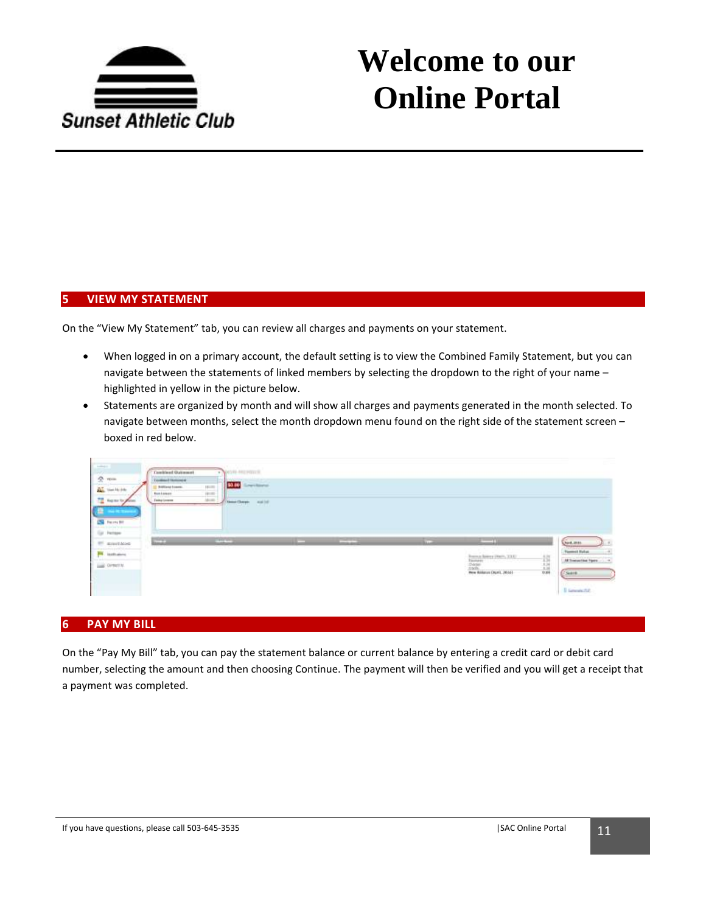

#### **5 VIEW MY STATEMENT**

On the "View My Statement" tab, you can review all charges and payments on your statement.

- When logged in on a primary account, the default setting is to view the Combined Family Statement, but you can navigate between the statements of linked members by selecting the dropdown to the right of your name – highlighted in yellow in the picture below.
- Statements are organized by month and will show all charges and payments generated in the month selected. To navigate between months, select the month dropdown menu found on the right side of the statement screen – boxed in red below.

| $2 - n =$<br>$\frac{\partial \mathbf{X}^*}{\partial \mathbf{X}^*}$ that is just | Toronto El Territorio<br>Billing Loans | \$0.00<br>Legisland.<br>Ē |   |        |                                 |                                                 |
|---------------------------------------------------------------------------------|----------------------------------------|---------------------------|---|--------|---------------------------------|-------------------------------------------------|
| hque to plan.<br><b>SE FRONT</b><br>(p. helpe)                                  | fishiones<br><b>Take Loose</b>         | <b>Searchers</b> and of   |   |        |                                 |                                                 |
|                                                                                 |                                        |                           |   |        | ---                             |                                                 |
|                                                                                 | ÆТ<br>.                                | <b>UNIVERSITY</b>         | - | 333.00 |                                 | April, 2011                                     |
|                                                                                 |                                        |                           |   |        |                                 | <b>Flammed Mature</b><br>All Transmitted Toyota |
| <b>IT announce</b><br><b>PK</b> instrument<br>Last Ormette.                     |                                        |                           |   |        | 信道<br>Ree Balance Digiti, 20141 | Search                                          |

#### **6 PAY MY BILL**

On the "Pay My Bill" tab, you can pay the statement balance or current balance by entering a credit card or debit card number, selecting the amount and then choosing Continue. The payment will then be verified and you will get a receipt that a payment was completed.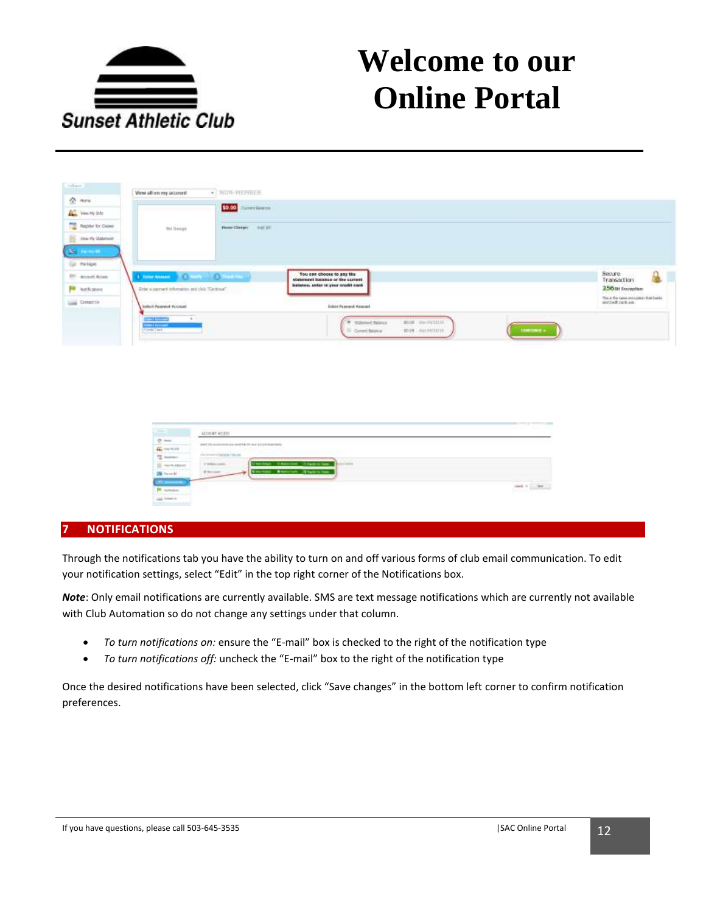

| <b>Sallant</b>           | $\bullet$ NGW-TERMIER<br>View all on my account                                                 |                                                                     |
|--------------------------|-------------------------------------------------------------------------------------------------|---------------------------------------------------------------------|
| $2 - n$                  | \$9.00 Sections                                                                                 |                                                                     |
| <b>ALL</b> Year Hy 3th   |                                                                                                 |                                                                     |
| The Reporter for Chinese | <b>but Seege</b><br>those Charger (1983)                                                        |                                                                     |
| The risk of Statement    |                                                                                                 |                                                                     |
| $\mathbf{S}$ is a set    |                                                                                                 |                                                                     |
| Eul. Package             |                                                                                                 | <b>CALL</b>                                                         |
| 991 Account Actes        | You can choose to pay the<br><b>LENGAMES COMP DIMENSION</b><br>statoment balance or the current | Socure.<br>Transaction                                              |
| <b>Fill</b> Incidents    | batterou, enter in your overlit card.<br>Grönlusservert Information and club "Centrole".        | 256th Entrastant                                                    |
| Los Comercio             | We began much to the SCP<br><b>Entert Passwort Assessed</b><br>Sellect Payment Account          | This is the twint-trivial constraints banks.<br>and cock curic are. |
|                          | and the co<br>$\frac{1}{2}$<br>mot nursyans?<br>* Talened Bairor                                |                                                                     |
|                          | <b>Contact</b><br>C Current Balance<br>\$500 december<br>$-$ - The Theory $\alpha$<br>----      |                                                                     |
|                          |                                                                                                 |                                                                     |

| $2 - 1$<br><b>CONTRACTOR</b> |  |
|------------------------------|--|
|                              |  |
|                              |  |
|                              |  |

### **7 NOTIFICATIONS**

Through the notifications tab you have the ability to turn on and off various forms of club email communication. To edit your notification settings, select "Edit" in the top right corner of the Notifications box.

*Note*: Only email notifications are currently available. SMS are text message notifications which are currently not available with Club Automation so do not change any settings under that column.

- *To turn notifications on:* ensure the "E-mail" box is checked to the right of the notification type
- *To turn notifications off:* uncheck the "E-mail" box to the right of the notification type

Once the desired notifications have been selected, click "Save changes" in the bottom left corner to confirm notification preferences.